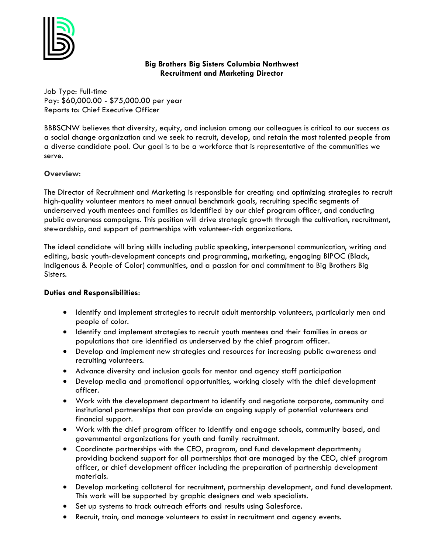

# **Big Brothers Big Sisters Columbia Northwest Recruitment and Marketing Director**

Job Type: Full-time Pay: \$60,000.00 - \$75,000.00 per year Reports to: Chief Executive Officer

BBBSCNW believes that diversity, equity, and inclusion among our colleagues is critical to our success as a social change organization and we seek to recruit, develop, and retain the most talented people from a diverse candidate pool. Our goal is to be a workforce that is representative of the communities we serve.

## **Overview:**

The Director of Recruitment and Marketing is responsible for creating and optimizing strategies to recruit high-quality volunteer mentors to meet annual benchmark goals, recruiting specific segments of underserved youth mentees and families as identified by our chief program officer, and conducting public awareness campaigns. This position will drive strategic growth through the cultivation, recruitment, stewardship, and support of partnerships with volunteer-rich organizations.

The ideal candidate will bring skills including public speaking, interpersonal communication, writing and editing, basic youth-development concepts and programming, marketing, engaging BIPOC (Black, Indigenous & People of Color) communities, and a passion for and commitment to Big Brothers Big Sisters.

## **Duties and Responsibilities**:

- Identify and implement strategies to recruit adult mentorship volunteers, particularly men and people of color.
- Identify and implement strategies to recruit youth mentees and their families in areas or populations that are identified as underserved by the chief program officer.
- Develop and implement new strategies and resources for increasing public awareness and recruiting volunteers.
- Advance diversity and inclusion goals for mentor and agency staff participation
- Develop media and promotional opportunities, working closely with the chief development officer.
- Work with the development department to identify and negotiate corporate, community and institutional partnerships that can provide an ongoing supply of potential volunteers and financial support.
- Work with the chief program officer to identify and engage schools, community based, and governmental organizations for youth and family recruitment.
- Coordinate partnerships with the CEO, program, and fund development departments; providing backend support for all partnerships that are managed by the CEO, chief program officer, or chief development officer including the preparation of partnership development materials.
- Develop marketing collateral for recruitment, partnership development, and fund development. This work will be supported by graphic designers and web specialists.
- Set up systems to track outreach efforts and results using Salesforce.
- Recruit, train, and manage volunteers to assist in recruitment and agency events.